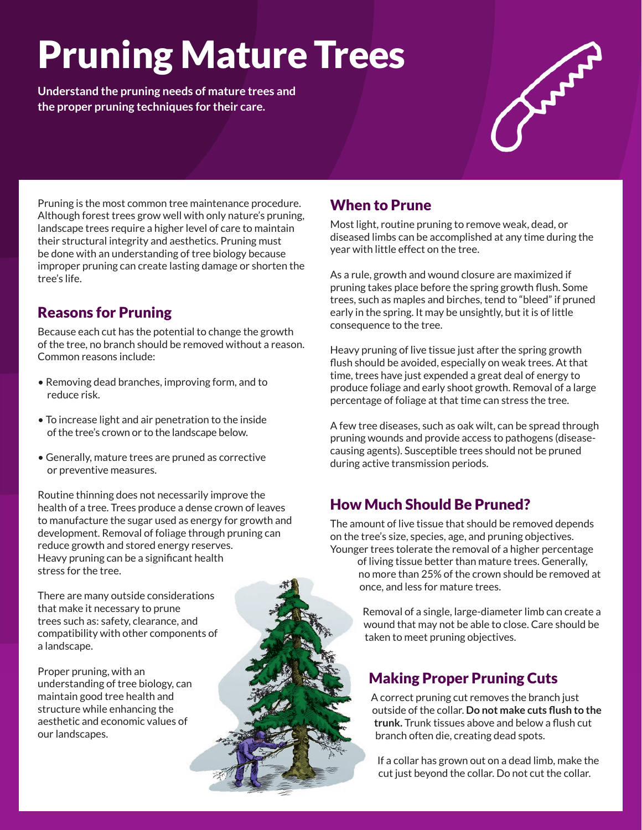# Pruning Mature Trees

**Understand the pruning needs of mature trees and the proper pruning techniques for their care.**



Pruning is the most common tree maintenance procedure. Although forest trees grow well with only nature's pruning, landscape trees require a higher level of care to maintain their structural integrity and aesthetics. Pruning must be done with an understanding of tree biology because improper pruning can create lasting damage or shorten the tree's life.

# Reasons for Pruning

Because each cut has the potential to change the growth of the tree, no branch should be removed without a reason. Common reasons include:

- Removing dead branches, improving form, and to reduce risk.
- To increase light and air penetration to the inside of the tree's crown or to the landscape below.
- Generally, mature trees are pruned as corrective or preventive measures.

Routine thinning does not necessarily improve the health of a tree. Trees produce a dense crown of leaves to manufacture the sugar used as energy for growth and development. Removal of foliage through pruning can reduce growth and stored energy reserves. Heavy pruning can be a significant health stress for the tree.

There are many outside considerations that make it necessary to prune trees such as: safety, clearance, and compatibility with other components of a landscape.

Proper pruning, with an understanding of tree biology, can maintain good tree health and structure while enhancing the aesthetic and economic values of our landscapes.

# When to Prune

Most light, routine pruning to remove weak, dead, or diseased limbs can be accomplished at any time during the year with little effect on the tree.

As a rule, growth and wound closure are maximized if pruning takes place before the spring growth flush. Some trees, such as maples and birches, tend to "bleed" if pruned early in the spring. It may be unsightly, but it is of little consequence to the tree.

Heavy pruning of live tissue just after the spring growth flush should be avoided, especially on weak trees. At that time, trees have just expended a great deal of energy to produce foliage and early shoot growth. Removal of a large percentage of foliage at that time can stress the tree.

A few tree diseases, such as oak wilt, can be spread through pruning wounds and provide access to pathogens (diseasecausing agents). Susceptible trees should not be pruned during active transmission periods.

## How Much Should Be Pruned?

The amount of live tissue that should be removed depends on the tree's size, species, age, and pruning objectives. Younger trees tolerate the removal of a higher percentage of living tissue better than mature trees. Generally,

no more than 25% of the crown should be removed at once, and less for mature trees.

Removal of a single, large-diameter limb can create a wound that may not be able to close. Care should be taken to meet pruning objectives.

## Making Proper Pruning Cuts

A correct pruning cut removes the branch just outside of the collar. **Do not make cuts flush to the trunk.** Trunk tissues above and below a flush cut branch often die, creating dead spots.

If a collar has grown out on a dead limb, make the cut just beyond the collar. Do not cut the collar.